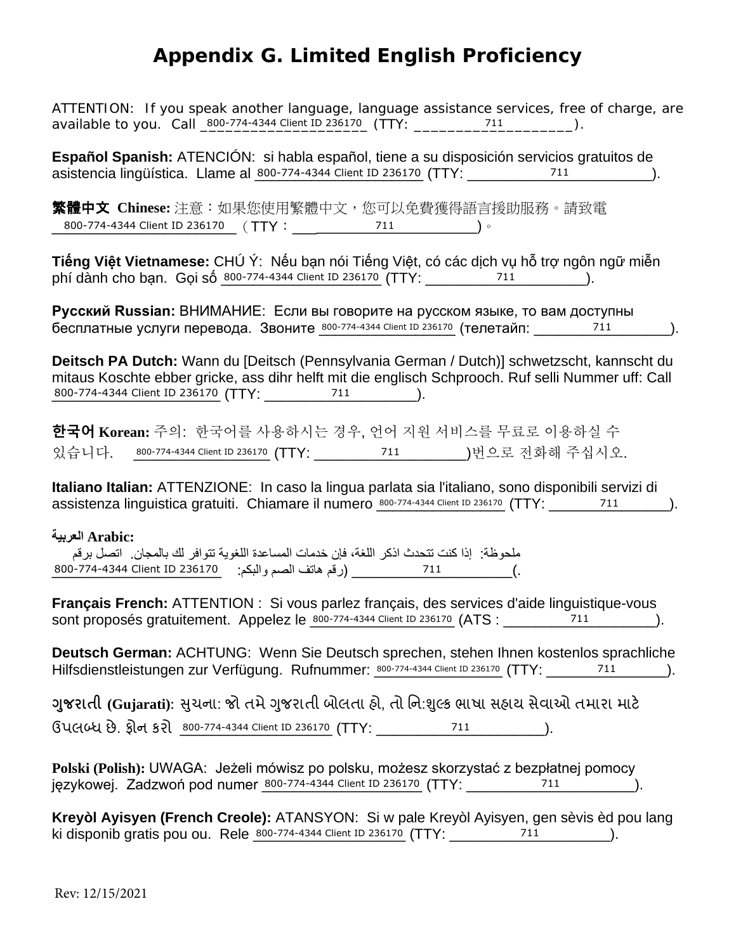## **Appendix G. Limited English Proficiency**

ATTENTION: If you speak another language, language assistance services, free of charge, are 

Español Spanish: ATENCIÓN: si habla español, tiene a su disposición servicios gratuitos de asistencia lingüística. Llame al 800-774-4344 Client ID 236170 (TTY: 711 711 711).

繁體中文 Chinese: 注意:如果您使用繁體中文,您可以免費獲得語言援助服務。請致電 800-774-4344 Client ID 236170 (TTY: 711 711 )

Tiếng Việt Vietnamese: CHÚ Ý: Nếu ban nói Tiếng Việt, có các dịch vu hỗ trợ ngôn ngữ miễn phí dành cho ban. Goi số 800-774-4344 Client ID 236170 (TTY: 711 711 ).

Русский Russian: ВНИМАНИЕ: Если вы говорите на русском языке, то вам доступны бесплатные услуги перевода. Звоните 800-774-4344 Client ID 236170 (телетайп: 711 711 ...

Deitsch PA Dutch: Wann du [Deitsch (Pennsylvania German / Dutch)] schwetzscht, kannscht du mitaus Koschte ebber gricke, ass dihr helft mit die englisch Schprooch. Ruf selli Nummer uff: Call 

한국어 Korean: 주의: 한국어를 사용하시는 경우, 언어 지원 서비스를 무료로 이용하실 수 있습니다. 800-774-4344 Client ID 236170 (TTY: 711 711 )번으로 전화해 주십시오.

Italiano Italian: ATTENZIONE: In caso la lingua parlata sia l'italiano, sono disponibili servizi di assistenza linguistica gratuiti. Chiamare il numero 800-774-4344 Client ID 236170 (TTY: 711 711 ).

## 'Arabic: العربية ملحوظة: إذا كنت تتحدث اذكر اللغة، فإن خدمات المساعدة اللغوية تتوافر لك بالمجان. اتصل برقم

Français French: ATTENTION : Si vous parlez français, des services d'aide linguistique-vous sont proposés gratuitement. Appelez le 800-774-4344 Client ID 236170 (ATS : 711 711 / 711 ...

Deutsch German: ACHTUNG: Wenn Sie Deutsch sprechen, stehen Ihnen kostenlos sprachliche Hilfsdienstleistungen zur Verfügung. Rufnummer: 800-774-4344 Client ID 236170 (TTY: 711 711 ).

ગુજરાતી (Gujarati): સુચના: જો તમે ગુજરાતી બોલતા હો, તો નિ:શુલ્ક ભાષા સહાચ સેવાઓ તમારા માટે ઉપલબ્ધ છે. ફોન કરો 800-774-4344 Client ID 236170 (TTY: 711 711).

Polski (Polish): UWAGA: Jeżeli mówisz po polsku, możesz skorzystać z bezpłatnej pomocy językowej. Zadzwoń pod numer 800-774-4344 Client ID 236170 (TTY: 711 711 / 711 ).

Kreyòl Ayisyen (French Creole): ATANSYON: Si w pale Kreyòl Ayisyen, gen sèvis èd pou lang